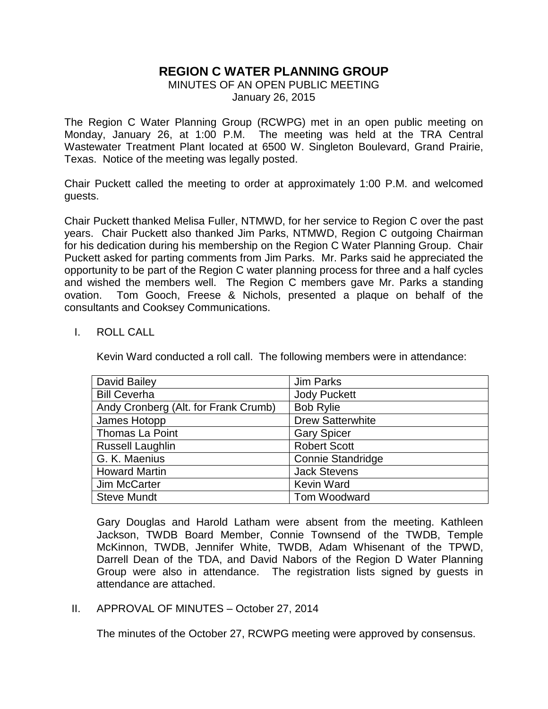# **REGION C WATER PLANNING GROUP**

## MINUTES OF AN OPEN PUBLIC MEETING January 26, 2015

The Region C Water Planning Group (RCWPG) met in an open public meeting on Monday, January 26, at 1:00 P.M. The meeting was held at the TRA Central Wastewater Treatment Plant located at 6500 W. Singleton Boulevard, Grand Prairie, Texas. Notice of the meeting was legally posted.

Chair Puckett called the meeting to order at approximately 1:00 P.M. and welcomed guests.

Chair Puckett thanked Melisa Fuller, NTMWD, for her service to Region C over the past years. Chair Puckett also thanked Jim Parks, NTMWD, Region C outgoing Chairman for his dedication during his membership on the Region C Water Planning Group. Chair Puckett asked for parting comments from Jim Parks. Mr. Parks said he appreciated the opportunity to be part of the Region C water planning process for three and a half cycles and wished the members well. The Region C members gave Mr. Parks a standing ovation. Tom Gooch, Freese & Nichols, presented a plaque on behalf of the consultants and Cooksey Communications.

### I. ROLL CALL

Kevin Ward conducted a roll call. The following members were in attendance:

| David Bailey                         | Jim Parks                |
|--------------------------------------|--------------------------|
| <b>Bill Ceverha</b>                  | <b>Jody Puckett</b>      |
| Andy Cronberg (Alt. for Frank Crumb) | <b>Bob Rylie</b>         |
| James Hotopp                         | <b>Drew Satterwhite</b>  |
| Thomas La Point                      | <b>Gary Spicer</b>       |
| <b>Russell Laughlin</b>              | <b>Robert Scott</b>      |
| G. K. Maenius                        | <b>Connie Standridge</b> |
| <b>Howard Martin</b>                 | <b>Jack Stevens</b>      |
| Jim McCarter                         | <b>Kevin Ward</b>        |
| <b>Steve Mundt</b>                   | Tom Woodward             |

Gary Douglas and Harold Latham were absent from the meeting. Kathleen Jackson, TWDB Board Member, Connie Townsend of the TWDB, Temple McKinnon, TWDB, Jennifer White, TWDB, Adam Whisenant of the TPWD, Darrell Dean of the TDA, and David Nabors of the Region D Water Planning Group were also in attendance. The registration lists signed by guests in attendance are attached.

II. APPROVAL OF MINUTES – October 27, 2014

The minutes of the October 27, RCWPG meeting were approved by consensus.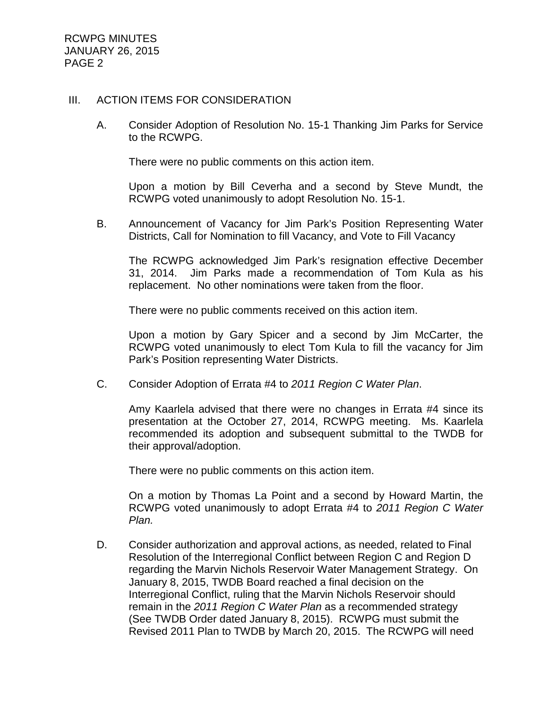#### III. ACTION ITEMS FOR CONSIDERATION

A. Consider Adoption of Resolution No. 15-1 Thanking Jim Parks for Service to the RCWPG.

There were no public comments on this action item.

Upon a motion by Bill Ceverha and a second by Steve Mundt, the RCWPG voted unanimously to adopt Resolution No. 15-1.

B. Announcement of Vacancy for Jim Park's Position Representing Water Districts, Call for Nomination to fill Vacancy, and Vote to Fill Vacancy

The RCWPG acknowledged Jim Park's resignation effective December 31, 2014. Jim Parks made a recommendation of Tom Kula as his replacement. No other nominations were taken from the floor.

There were no public comments received on this action item.

Upon a motion by Gary Spicer and a second by Jim McCarter, the RCWPG voted unanimously to elect Tom Kula to fill the vacancy for Jim Park's Position representing Water Districts.

C. Consider Adoption of Errata #4 to *2011 Region C Water Plan*.

Amy Kaarlela advised that there were no changes in Errata #4 since its presentation at the October 27, 2014, RCWPG meeting. Ms. Kaarlela recommended its adoption and subsequent submittal to the TWDB for their approval/adoption.

There were no public comments on this action item.

On a motion by Thomas La Point and a second by Howard Martin, the RCWPG voted unanimously to adopt Errata #4 to *2011 Region C Water Plan.* 

D. Consider authorization and approval actions, as needed, related to Final Resolution of the Interregional Conflict between Region C and Region D regarding the Marvin Nichols Reservoir Water Management Strategy. On January 8, 2015, TWDB Board reached a final decision on the Interregional Conflict, ruling that the Marvin Nichols Reservoir should remain in the *2011 Region C Water Plan* as a recommended strategy (See TWDB Order dated January 8, 2015). RCWPG must submit the Revised 2011 Plan to TWDB by March 20, 2015. The RCWPG will need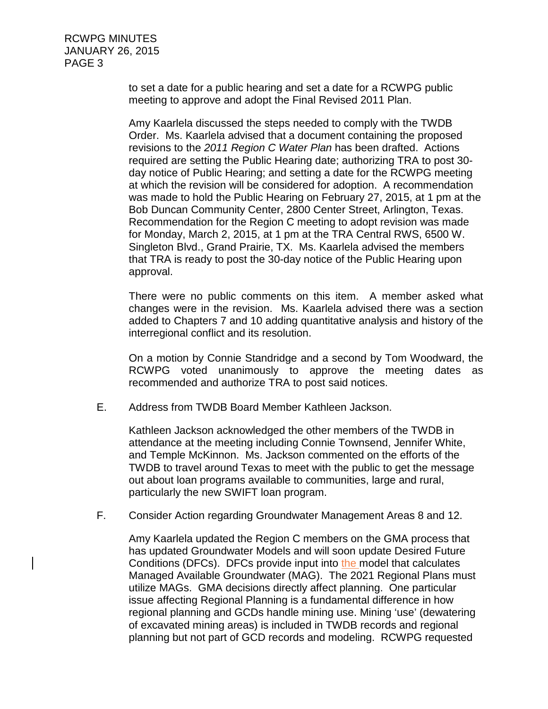> to set a date for a public hearing and set a date for a RCWPG public meeting to approve and adopt the Final Revised 2011 Plan.

Amy Kaarlela discussed the steps needed to comply with the TWDB Order. Ms. Kaarlela advised that a document containing the proposed revisions to the *2011 Region C Water Plan* has been drafted. Actions required are setting the Public Hearing date; authorizing TRA to post 30 day notice of Public Hearing; and setting a date for the RCWPG meeting at which the revision will be considered for adoption. A recommendation was made to hold the Public Hearing on February 27, 2015, at 1 pm at the Bob Duncan Community Center, 2800 Center Street, Arlington, Texas. Recommendation for the Region C meeting to adopt revision was made for Monday, March 2, 2015, at 1 pm at the TRA Central RWS, 6500 W. Singleton Blvd., Grand Prairie, TX. Ms. Kaarlela advised the members that TRA is ready to post the 30-day notice of the Public Hearing upon approval.

There were no public comments on this item. A member asked what changes were in the revision. Ms. Kaarlela advised there was a section added to Chapters 7 and 10 adding quantitative analysis and history of the interregional conflict and its resolution.

On a motion by Connie Standridge and a second by Tom Woodward, the RCWPG voted unanimously to approve the meeting dates as recommended and authorize TRA to post said notices.

E. Address from TWDB Board Member Kathleen Jackson.

Kathleen Jackson acknowledged the other members of the TWDB in attendance at the meeting including Connie Townsend, Jennifer White, and Temple McKinnon. Ms. Jackson commented on the efforts of the TWDB to travel around Texas to meet with the public to get the message out about loan programs available to communities, large and rural, particularly the new SWIFT loan program.

F. Consider Action regarding Groundwater Management Areas 8 and 12.

Amy Kaarlela updated the Region C members on the GMA process that has updated Groundwater Models and will soon update Desired Future Conditions (DFCs). DFCs provide input into the model that calculates Managed Available Groundwater (MAG). The 2021 Regional Plans must utilize MAGs. GMA decisions directly affect planning. One particular issue affecting Regional Planning is a fundamental difference in how regional planning and GCDs handle mining use. Mining 'use' (dewatering of excavated mining areas) is included in TWDB records and regional planning but not part of GCD records and modeling. RCWPG requested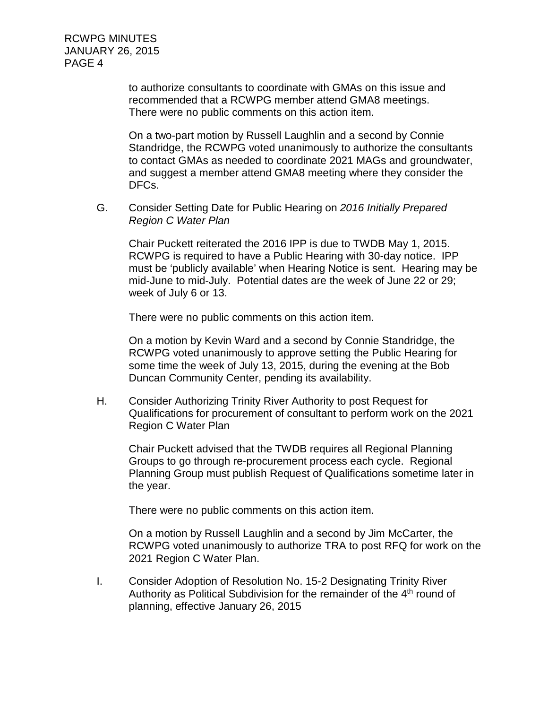> to authorize consultants to coordinate with GMAs on this issue and recommended that a RCWPG member attend GMA8 meetings. There were no public comments on this action item.

On a two-part motion by Russell Laughlin and a second by Connie Standridge, the RCWPG voted unanimously to authorize the consultants to contact GMAs as needed to coordinate 2021 MAGs and groundwater, and suggest a member attend GMA8 meeting where they consider the DFCs.

G. Consider Setting Date for Public Hearing on *2016 Initially Prepared Region C Water Plan*

Chair Puckett reiterated the 2016 IPP is due to TWDB May 1, 2015. RCWPG is required to have a Public Hearing with 30-day notice. IPP must be 'publicly available' when Hearing Notice is sent. Hearing may be mid-June to mid-July. Potential dates are the week of June 22 or 29; week of July 6 or 13.

There were no public comments on this action item.

On a motion by Kevin Ward and a second by Connie Standridge, the RCWPG voted unanimously to approve setting the Public Hearing for some time the week of July 13, 2015, during the evening at the Bob Duncan Community Center, pending its availability.

H. Consider Authorizing Trinity River Authority to post Request for Qualifications for procurement of consultant to perform work on the 2021 Region C Water Plan

Chair Puckett advised that the TWDB requires all Regional Planning Groups to go through re-procurement process each cycle. Regional Planning Group must publish Request of Qualifications sometime later in the year.

There were no public comments on this action item.

On a motion by Russell Laughlin and a second by Jim McCarter, the RCWPG voted unanimously to authorize TRA to post RFQ for work on the 2021 Region C Water Plan.

I. Consider Adoption of Resolution No. 15-2 Designating Trinity River Authority as Political Subdivision for the remainder of the  $4<sup>th</sup>$  round of planning, effective January 26, 2015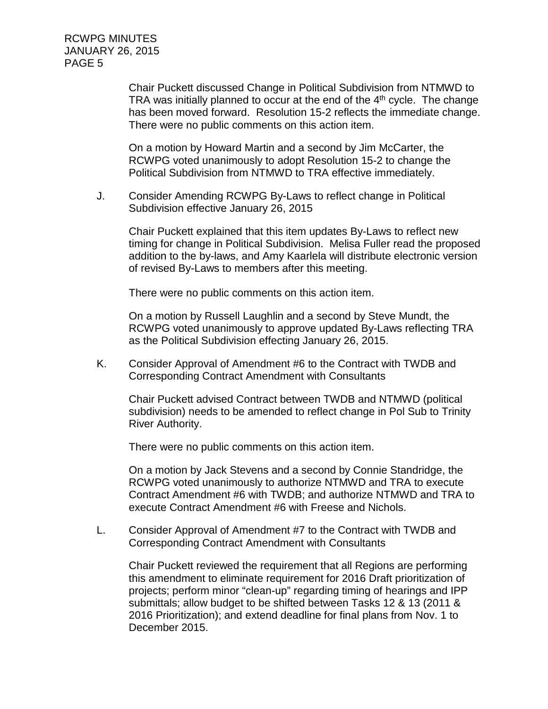> Chair Puckett discussed Change in Political Subdivision from NTMWD to TRA was initially planned to occur at the end of the  $4<sup>th</sup>$  cycle. The change has been moved forward. Resolution 15-2 reflects the immediate change. There were no public comments on this action item.

On a motion by Howard Martin and a second by Jim McCarter, the RCWPG voted unanimously to adopt Resolution 15-2 to change the Political Subdivision from NTMWD to TRA effective immediately.

J. Consider Amending RCWPG By-Laws to reflect change in Political Subdivision effective January 26, 2015

Chair Puckett explained that this item updates By-Laws to reflect new timing for change in Political Subdivision. Melisa Fuller read the proposed addition to the by-laws, and Amy Kaarlela will distribute electronic version of revised By-Laws to members after this meeting.

There were no public comments on this action item.

On a motion by Russell Laughlin and a second by Steve Mundt, the RCWPG voted unanimously to approve updated By-Laws reflecting TRA as the Political Subdivision effecting January 26, 2015.

K. Consider Approval of Amendment #6 to the Contract with TWDB and Corresponding Contract Amendment with Consultants

Chair Puckett advised Contract between TWDB and NTMWD (political subdivision) needs to be amended to reflect change in Pol Sub to Trinity River Authority.

There were no public comments on this action item.

On a motion by Jack Stevens and a second by Connie Standridge, the RCWPG voted unanimously to authorize NTMWD and TRA to execute Contract Amendment #6 with TWDB; and authorize NTMWD and TRA to execute Contract Amendment #6 with Freese and Nichols.

L. Consider Approval of Amendment #7 to the Contract with TWDB and Corresponding Contract Amendment with Consultants

Chair Puckett reviewed the requirement that all Regions are performing this amendment to eliminate requirement for 2016 Draft prioritization of projects; perform minor "clean-up" regarding timing of hearings and IPP submittals; allow budget to be shifted between Tasks 12 & 13 (2011 & 2016 Prioritization); and extend deadline for final plans from Nov. 1 to December 2015.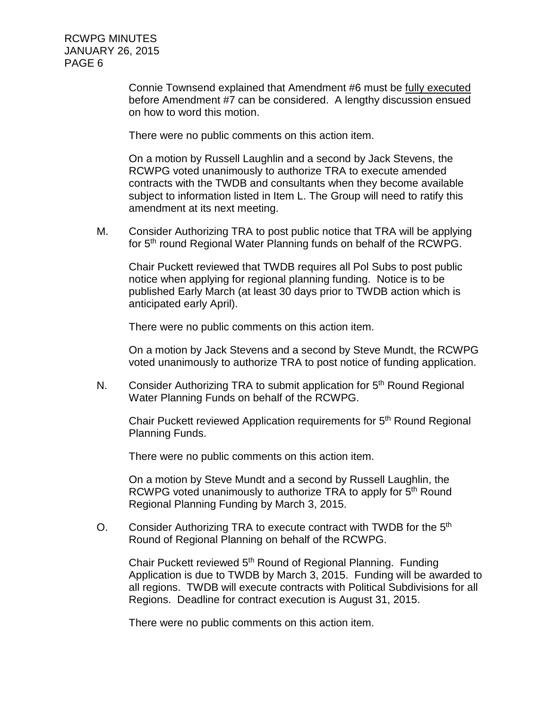> Connie Townsend explained that Amendment #6 must be fully executed before Amendment #7 can be considered. A lengthy discussion ensued on how to word this motion.

There were no public comments on this action item.

On a motion by Russell Laughlin and a second by Jack Stevens, the RCWPG voted unanimously to authorize TRA to execute amended contracts with the TWDB and consultants when they become available subject to information listed in Item L. The Group will need to ratify this amendment at its next meeting.

M. Consider Authorizing TRA to post public notice that TRA will be applying for 5<sup>th</sup> round Regional Water Planning funds on behalf of the RCWPG.

Chair Puckett reviewed that TWDB requires all Pol Subs to post public notice when applying for regional planning funding. Notice is to be published Early March (at least 30 days prior to TWDB action which is anticipated early April).

There were no public comments on this action item.

On a motion by Jack Stevens and a second by Steve Mundt, the RCWPG voted unanimously to authorize TRA to post notice of funding application.

N. Consider Authorizing TRA to submit application for 5<sup>th</sup> Round Regional Water Planning Funds on behalf of the RCWPG.

Chair Puckett reviewed Application requirements for 5<sup>th</sup> Round Regional Planning Funds.

There were no public comments on this action item.

On a motion by Steve Mundt and a second by Russell Laughlin, the RCWPG voted unanimously to authorize TRA to apply for 5<sup>th</sup> Round Regional Planning Funding by March 3, 2015.

O. Consider Authorizing TRA to execute contract with TWDB for the 5<sup>th</sup> Round of Regional Planning on behalf of the RCWPG.

Chair Puckett reviewed 5<sup>th</sup> Round of Regional Planning. Funding Application is due to TWDB by March 3, 2015. Funding will be awarded to all regions. TWDB will execute contracts with Political Subdivisions for all Regions. Deadline for contract execution is August 31, 2015.

There were no public comments on this action item.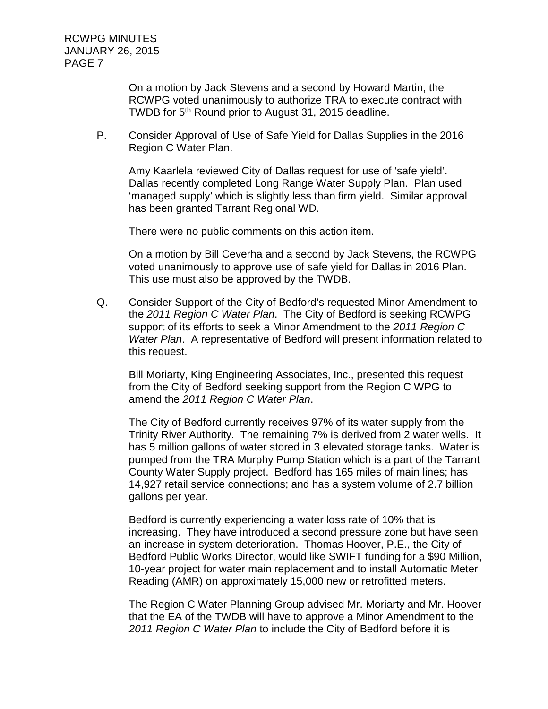> On a motion by Jack Stevens and a second by Howard Martin, the RCWPG voted unanimously to authorize TRA to execute contract with TWDB for 5th Round prior to August 31, 2015 deadline.

P. Consider Approval of Use of Safe Yield for Dallas Supplies in the 2016 Region C Water Plan.

Amy Kaarlela reviewed City of Dallas request for use of 'safe yield'. Dallas recently completed Long Range Water Supply Plan. Plan used 'managed supply' which is slightly less than firm yield. Similar approval has been granted Tarrant Regional WD.

There were no public comments on this action item.

On a motion by Bill Ceverha and a second by Jack Stevens, the RCWPG voted unanimously to approve use of safe yield for Dallas in 2016 Plan. This use must also be approved by the TWDB.

Q. Consider Support of the City of Bedford's requested Minor Amendment to the *2011 Region C Water Plan*. The City of Bedford is seeking RCWPG support of its efforts to seek a Minor Amendment to the *2011 Region C Water Plan*. A representative of Bedford will present information related to this request.

Bill Moriarty, King Engineering Associates, Inc., presented this request from the City of Bedford seeking support from the Region C WPG to amend the *2011 Region C Water Plan*.

The City of Bedford currently receives 97% of its water supply from the Trinity River Authority. The remaining 7% is derived from 2 water wells. It has 5 million gallons of water stored in 3 elevated storage tanks. Water is pumped from the TRA Murphy Pump Station which is a part of the Tarrant County Water Supply project. Bedford has 165 miles of main lines; has 14,927 retail service connections; and has a system volume of 2.7 billion gallons per year.

Bedford is currently experiencing a water loss rate of 10% that is increasing. They have introduced a second pressure zone but have seen an increase in system deterioration. Thomas Hoover, P.E., the City of Bedford Public Works Director, would like SWIFT funding for a \$90 Million, 10-year project for water main replacement and to install Automatic Meter Reading (AMR) on approximately 15,000 new or retrofitted meters.

The Region C Water Planning Group advised Mr. Moriarty and Mr. Hoover that the EA of the TWDB will have to approve a Minor Amendment to the *2011 Region C Water Plan* to include the City of Bedford before it is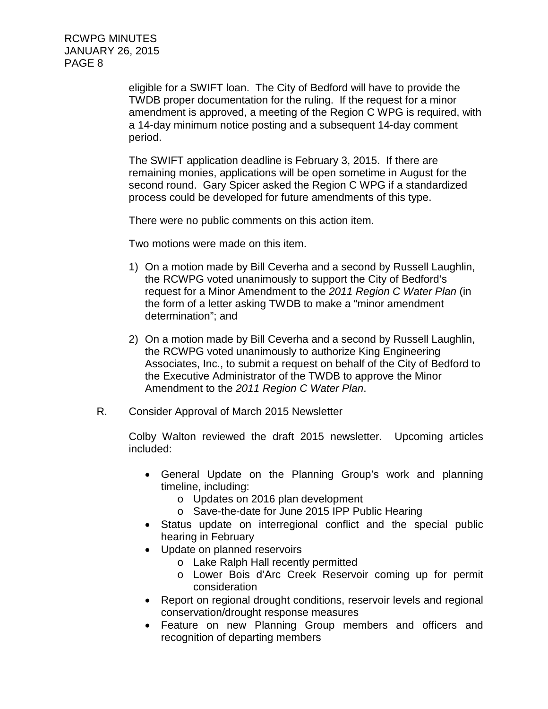eligible for a SWIFT loan. The City of Bedford will have to provide the TWDB proper documentation for the ruling. If the request for a minor amendment is approved, a meeting of the Region C WPG is required, with a 14-day minimum notice posting and a subsequent 14-day comment period.

The SWIFT application deadline is February 3, 2015. If there are remaining monies, applications will be open sometime in August for the second round. Gary Spicer asked the Region C WPG if a standardized process could be developed for future amendments of this type.

There were no public comments on this action item.

Two motions were made on this item.

- 1) On a motion made by Bill Ceverha and a second by Russell Laughlin, the RCWPG voted unanimously to support the City of Bedford's request for a Minor Amendment to the *2011 Region C Water Plan* (in the form of a letter asking TWDB to make a "minor amendment determination"; and
- 2) On a motion made by Bill Ceverha and a second by Russell Laughlin, the RCWPG voted unanimously to authorize King Engineering Associates, Inc., to submit a request on behalf of the City of Bedford to the Executive Administrator of the TWDB to approve the Minor Amendment to the *2011 Region C Water Plan*.
- R. Consider Approval of March 2015 Newsletter

Colby Walton reviewed the draft 2015 newsletter. Upcoming articles included:

- General Update on the Planning Group's work and planning timeline, including:
	- o Updates on 2016 plan development
	- o Save-the-date for June 2015 IPP Public Hearing
- Status update on interregional conflict and the special public hearing in February
- Update on planned reservoirs
	- o Lake Ralph Hall recently permitted
	- o Lower Bois d'Arc Creek Reservoir coming up for permit consideration
- Report on regional drought conditions, reservoir levels and regional conservation/drought response measures
- Feature on new Planning Group members and officers and recognition of departing members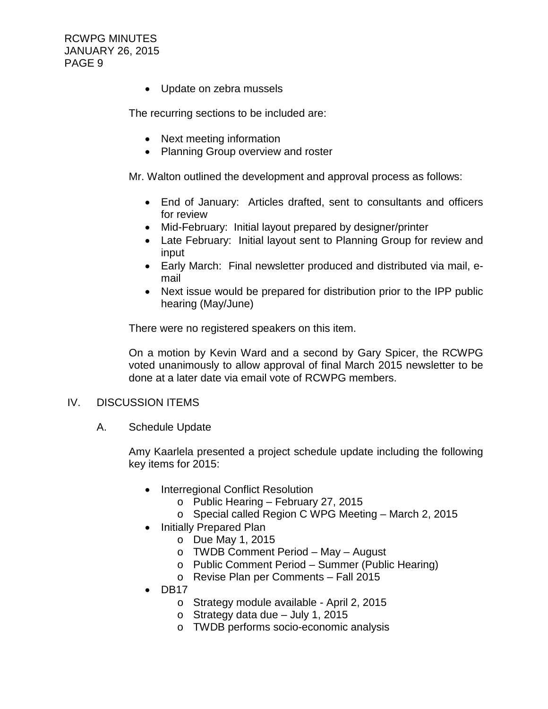• Update on zebra mussels

The recurring sections to be included are:

- Next meeting information
- Planning Group overview and roster

Mr. Walton outlined the development and approval process as follows:

- End of January: Articles drafted, sent to consultants and officers for review
- Mid-February: Initial layout prepared by designer/printer
- Late February: Initial layout sent to Planning Group for review and input
- Early March: Final newsletter produced and distributed via mail, email
- Next issue would be prepared for distribution prior to the IPP public hearing (May/June)

There were no registered speakers on this item.

On a motion by Kevin Ward and a second by Gary Spicer, the RCWPG voted unanimously to allow approval of final March 2015 newsletter to be done at a later date via email vote of RCWPG members.

#### IV. DISCUSSION ITEMS

A. Schedule Update

Amy Kaarlela presented a project schedule update including the following key items for 2015:

- Interregional Conflict Resolution
	- o Public Hearing February 27, 2015
	- o Special called Region C WPG Meeting March 2, 2015
- Initially Prepared Plan
	- o Due May 1, 2015
	- o TWDB Comment Period May August
	- o Public Comment Period Summer (Public Hearing)
	- o Revise Plan per Comments Fall 2015
- DB17
	- o Strategy module available April 2, 2015
	- $\circ$  Strategy data due July 1, 2015
	- o TWDB performs socio-economic analysis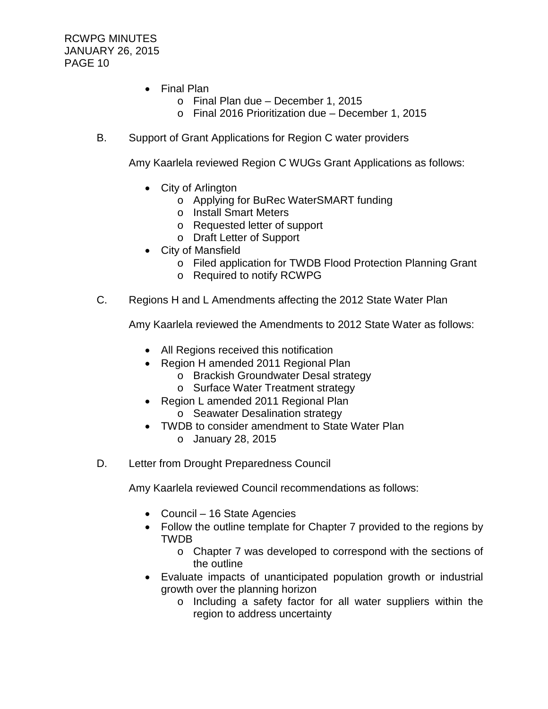- Final Plan
	- o Final Plan due December 1, 2015
	- o Final 2016 Prioritization due December 1, 2015
- B. Support of Grant Applications for Region C water providers

Amy Kaarlela reviewed Region C WUGs Grant Applications as follows:

- City of Arlington
	- o Applying for BuRec WaterSMART funding
	- o Install Smart Meters
	- o Requested letter of support
	- o Draft Letter of Support
- City of Mansfield
	- o Filed application for TWDB Flood Protection Planning Grant
	- o Required to notify RCWPG
- C. Regions H and L Amendments affecting the 2012 State Water Plan

Amy Kaarlela reviewed the Amendments to 2012 State Water as follows:

- All Regions received this notification
- Region H amended 2011 Regional Plan
	- o Brackish Groundwater Desal strategy
	- o Surface Water Treatment strategy
- Region L amended 2011 Regional Plan o Seawater Desalination strategy
- TWDB to consider amendment to State Water Plan o January 28, 2015
- D. Letter from Drought Preparedness Council

Amy Kaarlela reviewed Council recommendations as follows:

- Council 16 State Agencies
- Follow the outline template for Chapter 7 provided to the regions by TWDB
	- o Chapter 7 was developed to correspond with the sections of the outline
- Evaluate impacts of unanticipated population growth or industrial growth over the planning horizon
	- o Including a safety factor for all water suppliers within the region to address uncertainty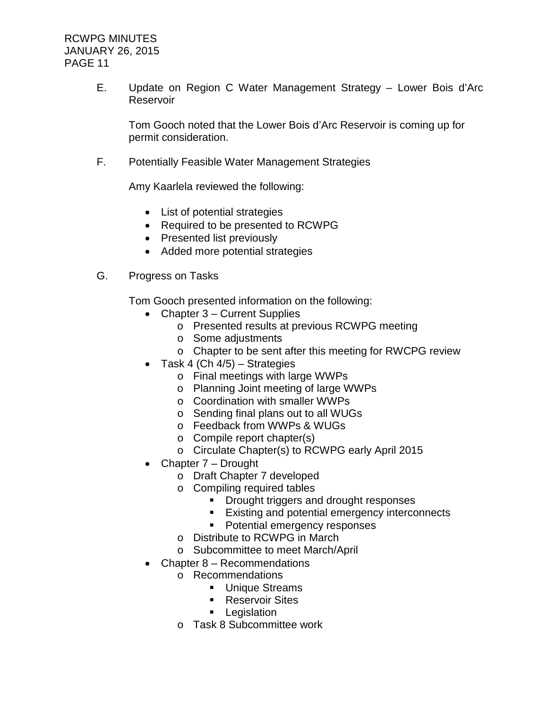E. Update on Region C Water Management Strategy – Lower Bois d'Arc Reservoir

Tom Gooch noted that the Lower Bois d'Arc Reservoir is coming up for permit consideration.

F. Potentially Feasible Water Management Strategies

Amy Kaarlela reviewed the following:

- List of potential strategies
- Required to be presented to RCWPG
- Presented list previously
- Added more potential strategies
- G. Progress on Tasks

Tom Gooch presented information on the following:

- Chapter 3 Current Supplies
	- o Presented results at previous RCWPG meeting
	- o Some adjustments
	- o Chapter to be sent after this meeting for RWCPG review
- Task 4 (Ch  $4/5$ ) Strategies
	- o Final meetings with large WWPs
	- o Planning Joint meeting of large WWPs
	- o Coordination with smaller WWPs
	- o Sending final plans out to all WUGs
	- o Feedback from WWPs & WUGs
	- o Compile report chapter(s)
	- o Circulate Chapter(s) to RCWPG early April 2015
- Chapter 7 Drought
	- o Draft Chapter 7 developed
	- o Compiling required tables
		- **Drought triggers and drought responses**
		- **Existing and potential emergency interconnects**
		- **Potential emergency responses**
	- o Distribute to RCWPG in March
	- o Subcommittee to meet March/April
- Chapter 8 Recommendations
	- o Recommendations
		- **Unique Streams**
		- **Reservoir Sites**
		- **Legislation**
	- o Task 8 Subcommittee work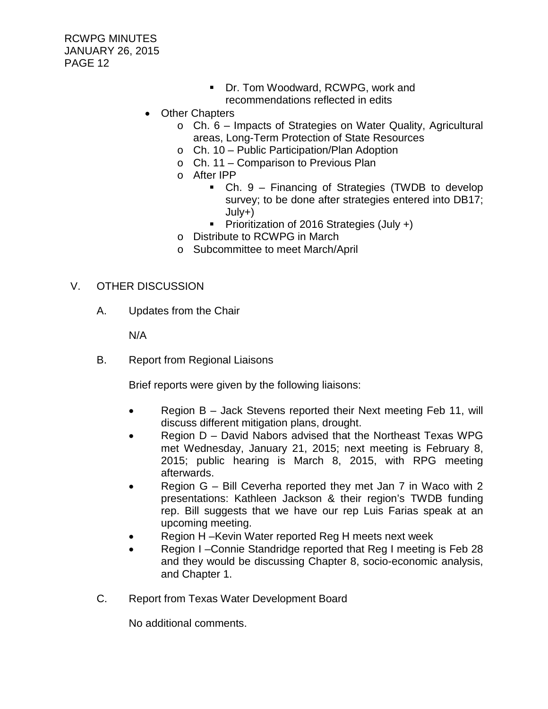- **Dr. Tom Woodward, RCWPG, work and** recommendations reflected in edits
- Other Chapters
	- o Ch. 6 Impacts of Strategies on Water Quality, Agricultural areas, Long-Term Protection of State Resources
	- o Ch. 10 Public Participation/Plan Adoption
	- o Ch. 11 Comparison to Previous Plan
	- o After IPP
		- Ch. 9 Financing of Strategies (TWDB to develop survey; to be done after strategies entered into DB17; July+)
		- **Prioritization of 2016 Strategies (July +)**
	- o Distribute to RCWPG in March
	- o Subcommittee to meet March/April

## V. OTHER DISCUSSION

A. Updates from the Chair

N/A

B. Report from Regional Liaisons

Brief reports were given by the following liaisons:

- Region B Jack Stevens reported their Next meeting Feb 11, will discuss different mitigation plans, drought.
- Region D David Nabors advised that the Northeast Texas WPG met Wednesday, January 21, 2015; next meeting is February 8, 2015; public hearing is March 8, 2015, with RPG meeting afterwards.
- Region G Bill Ceverha reported they met Jan 7 in Waco with 2 presentations: Kathleen Jackson & their region's TWDB funding rep. Bill suggests that we have our rep Luis Farias speak at an upcoming meeting.
- Region H –Kevin Water reported Reg H meets next week
- Region I –Connie Standridge reported that Reg I meeting is Feb 28 and they would be discussing Chapter 8, socio-economic analysis, and Chapter 1.
- C. Report from Texas Water Development Board

No additional comments.